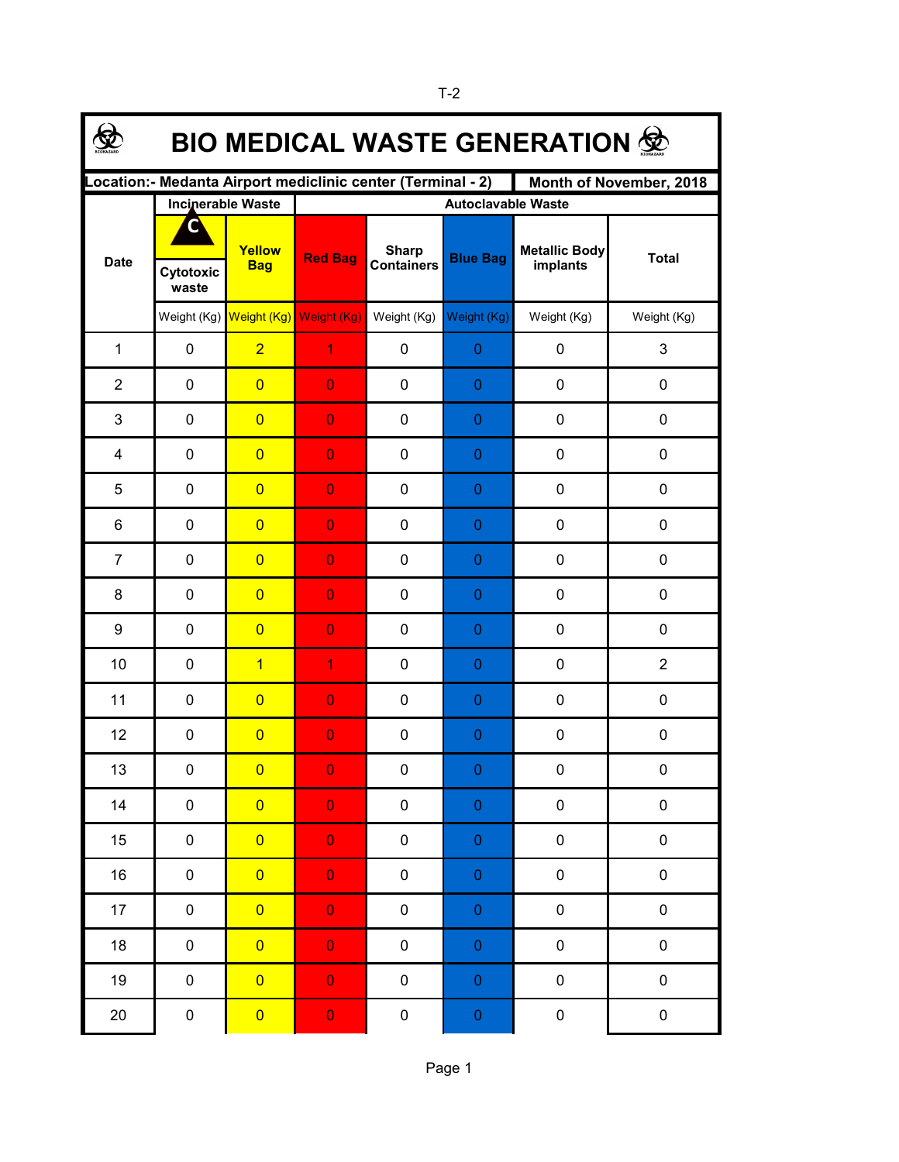| <b>BIO MEDICAL WASTE GENERATION 佥</b>                                                  |                    |                                     |                           |                                   |                 |                                  |                |  |  |  |
|----------------------------------------------------------------------------------------|--------------------|-------------------------------------|---------------------------|-----------------------------------|-----------------|----------------------------------|----------------|--|--|--|
| Location:- Medanta Airport mediclinic center (Terminal - 2)<br>Month of November, 2018 |                    |                                     |                           |                                   |                 |                                  |                |  |  |  |
|                                                                                        |                    | <b>Incinerable Waste</b>            | <b>Autoclavable Waste</b> |                                   |                 |                                  |                |  |  |  |
| <b>Date</b>                                                                            |                    | Yellow<br><b>Bag</b>                | <b>Red Bag</b>            | <b>Sharp</b><br><b>Containers</b> | <b>Blue Bag</b> | <b>Metallic Body</b><br>implants | <b>Total</b>   |  |  |  |
|                                                                                        | Cytotoxic<br>waste |                                     |                           |                                   |                 |                                  |                |  |  |  |
|                                                                                        |                    | Weight (Kg) Weight (Kg) Weight (Kg) |                           | Weight (Kg)                       | Weight (Kg)     | Weight (Kg)                      | Weight (Kg)    |  |  |  |
| 1                                                                                      | $\pmb{0}$          | $\overline{2}$                      | 1                         | $\pmb{0}$                         | $\mathbf{0}$    | 0                                | 3              |  |  |  |
| $\overline{2}$                                                                         | 0                  | $\overline{0}$                      | $\overline{0}$            | 0                                 | $\theta$        | $\mathbf 0$                      | 0              |  |  |  |
| 3                                                                                      | 0                  | $\overline{0}$                      | $\overline{0}$            | $\mathbf 0$                       | $\theta$        | $\mathbf 0$                      | 0              |  |  |  |
| $\overline{4}$                                                                         | 0                  | $\overline{0}$                      | $\overline{0}$            | $\mathbf 0$                       | $\theta$        | $\mathbf 0$                      | 0              |  |  |  |
| 5                                                                                      | $\mathbf 0$        | $\overline{0}$                      | $\overline{0}$            | 0                                 | $\theta$        | $\mathbf 0$                      | 0              |  |  |  |
| 6                                                                                      | 0                  | $\overline{0}$                      | $\overline{0}$            | 0                                 | $\theta$        | $\mathbf 0$                      | 0              |  |  |  |
| $\overline{7}$                                                                         | 0                  | $\overline{0}$                      | $\overline{0}$            | 0                                 | $\theta$        | $\mathbf 0$                      | 0              |  |  |  |
| 8                                                                                      | $\mathbf 0$        | $\overline{0}$                      | $\overline{0}$            | 0                                 | $\theta$        | $\mathbf 0$                      | 0              |  |  |  |
| 9                                                                                      | $\mathbf 0$        | $\overline{0}$                      | $\overline{0}$            | 0                                 | $\theta$        | $\mathbf 0$                      | 0              |  |  |  |
| 10                                                                                     | $\mathbf 0$        | $\overline{1}$                      | 1                         | 0                                 | $\theta$        | $\mathbf 0$                      | $\overline{2}$ |  |  |  |
| 11                                                                                     | $\mathbf 0$        | $\overline{0}$                      | $\overline{0}$            | 0                                 | $\theta$        | $\mathbf 0$                      | 0              |  |  |  |
| 12                                                                                     | $\mathbf 0$        | $\overline{0}$                      | $\overline{0}$            | 0                                 | $\theta$        | $\pmb{0}$                        | 0              |  |  |  |
| 13                                                                                     | 0                  | $\overline{\mathbf{0}}$             | $\Omega$                  | $\mathbf 0$                       | $\Omega$        | 0                                | 0              |  |  |  |
| 14                                                                                     | $\pmb{0}$          | $\overline{0}$                      | $\mathbf 0$               | $\pmb{0}$                         | $\pmb{0}$       | $\pmb{0}$                        | 0              |  |  |  |
| 15                                                                                     | 0                  | $\overline{0}$                      | $\mathbf 0$               | $\pmb{0}$                         | $\pmb{0}$       | $\pmb{0}$                        | 0              |  |  |  |
| 16                                                                                     | 0                  | $\overline{0}$                      | $\mathbf 0$               | $\pmb{0}$                         | $\pmb{0}$       | $\pmb{0}$                        | 0              |  |  |  |
| 17                                                                                     | 0                  | $\overline{0}$                      | $\mathbf 0$               | $\pmb{0}$                         | $\pmb{0}$       | $\pmb{0}$                        | 0              |  |  |  |
| $18$                                                                                   | 0                  | $\overline{0}$                      | $\mathbf 0$               | $\pmb{0}$                         | $\pmb{0}$       | $\pmb{0}$                        | 0              |  |  |  |
| 19                                                                                     | $\pmb{0}$          | $\overline{0}$                      | $\mathbf 0$               | 0                                 | $\pmb{0}$       | $\pmb{0}$                        | 0              |  |  |  |
| $20\,$                                                                                 | $\pmb{0}$          | $\overline{0}$                      | $\mathbf 0$               | $\pmb{0}$                         | $\mathbf 0$     | $\pmb{0}$                        | $\pmb{0}$      |  |  |  |

Page 1